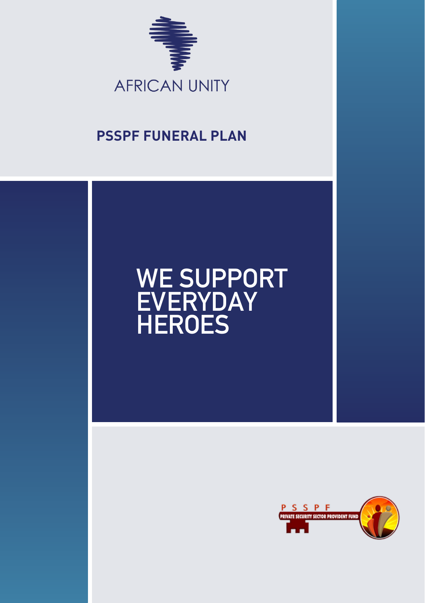

### **PSSPF FUNERAL PLAN**

# **WE SUPPORT EVERYDAY HEROES**

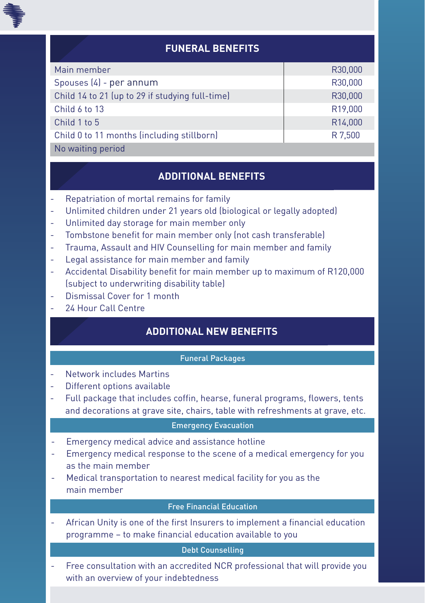

### **FUNERAL BENEFITS**

| Main member                                     | R30,000              |
|-------------------------------------------------|----------------------|
| Spouses (4) - per annum                         | R30,000              |
| Child 14 to 21 (up to 29 if studying full-time) | R30,000              |
| Child 6 to 13                                   | R <sub>19</sub> ,000 |
| Child 1 to 5                                    | R <sub>14,000</sub>  |
| Child 0 to 11 months (including stillborn)      | R 7,500              |
| No waiting period                               |                      |

## **ADDITIONAL BENEFITS**

- Repatriation of mortal remains for family
- Unlimited children under 21 years old (biological or legally adopted)
- Unlimited day storage for main member only
- Tombstone benefit for main member only (not cash transferable)
- Trauma, Assault and HIV Counselling for main member and family
- Legal assistance for main member and family
- Accidental Disability benefit for main member up to maximum of R120,000 (subject to underwriting disability table)
- Dismissal Cover for 1 month
- 26 Hour Call Centre

### **ADDITIONAL NEW BENEFITS**

#### Funeral Packages

- Network includes Martins
- Different options available
- Full package that includes coffin, hearse, funeral programs, flowers, tents and decorations at grave site, chairs, table with refreshments at grave, etc.

#### Emergency Evacuation

- Emergency medical advice and assistance hotline
- Emergency medical response to the scene of a medical emergency for you as the main member
- Medical transportation to nearest medical facility for you as the main member

#### Free Financial Education

African Unity is one of the first Insurers to implement a financial education programme – to make financial education available to you

#### Debt Counselling

- Free consultation with an accredited NCR professional that will provide you with an overview of your indebtedness